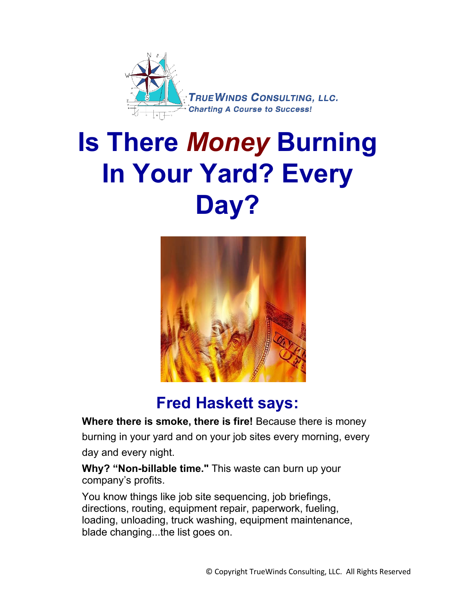

# **Is There** *Money* **Burning In Your Yard? Every Day?**



### **Fred Haskett says:**

**Where there is smoke, there is fire!** Because there is money burning in your yard and on your job sites every morning, every day and every night.

**Why? "Non-billable time."** This waste can burn up your company's profits.

You know things like job site sequencing, job briefings, directions, routing, equipment repair, paperwork, fueling, loading, unloading, truck washing, equipment maintenance, blade changing...the list goes on.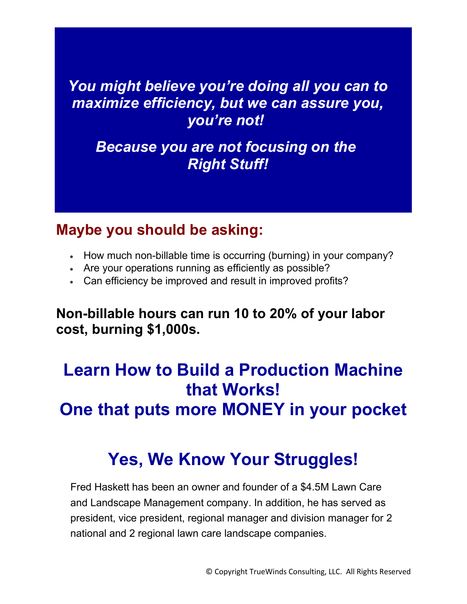### *You might believe you're doing all you can to maximize efficiency, but we can assure you, you're not!*

### *Because you are not focusing on the Right Stuff!*

### **Maybe you should be asking:**

- How much non-billable time is occurring (burning) in your company?
- Are your operations running as efficiently as possible?
- Can efficiency be improved and result in improved profits?

**Non-billable hours can run 10 to 20% of your labor cost, burning \$1,000s.**

# **Learn How to Build a Production Machine that Works! One that puts more MONEY in your pocket**

# **Yes, We Know Your Struggles!**

Fred Haskett has been an owner and founder of a \$4.5M Lawn Care and Landscape Management company. In addition, he has served as president, vice president, regional manager and division manager for 2 national and 2 regional lawn care landscape companies.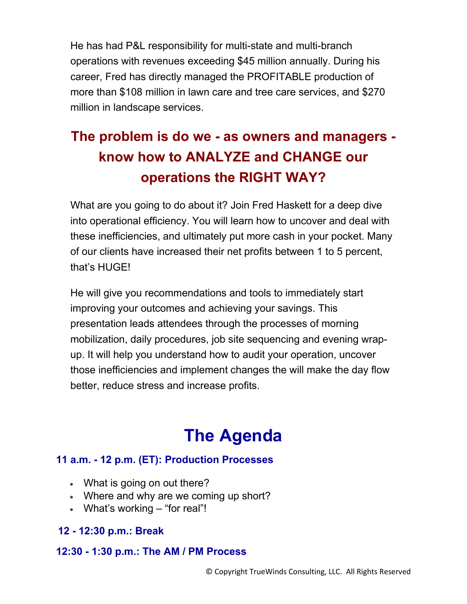He has had P&L responsibility for multi-state and multi-branch operations with revenues exceeding \$45 million annually. During his career, Fred has directly managed the PROFITABLE production of more than \$108 million in lawn care and tree care services, and \$270 million in landscape services.

### **The problem is do we - as owners and managers know how to ANALYZE and CHANGE our operations the RIGHT WAY?**

What are you going to do about it? Join Fred Haskett for a deep dive into operational efficiency. You will learn how to uncover and deal with these inefficiencies, and ultimately put more cash in your pocket. Many of our clients have increased their net profits between 1 to 5 percent, that's HUGE!

He will give you recommendations and tools to immediately start improving your outcomes and achieving your savings. This presentation leads attendees through the processes of morning mobilization, daily procedures, job site sequencing and evening wrapup. It will help you understand how to audit your operation, uncover those inefficiencies and implement changes the will make the day flow better, reduce stress and increase profits.

## **The Agenda**

#### **11 a.m. - 12 p.m. (ET): Production Processes**

- What is going on out there?
- Where and why are we coming up short?
- What's working "for real"!

### **12 - 12:30 p.m.: Break**

#### **12:30 - 1:30 p.m.: The AM / PM Process**